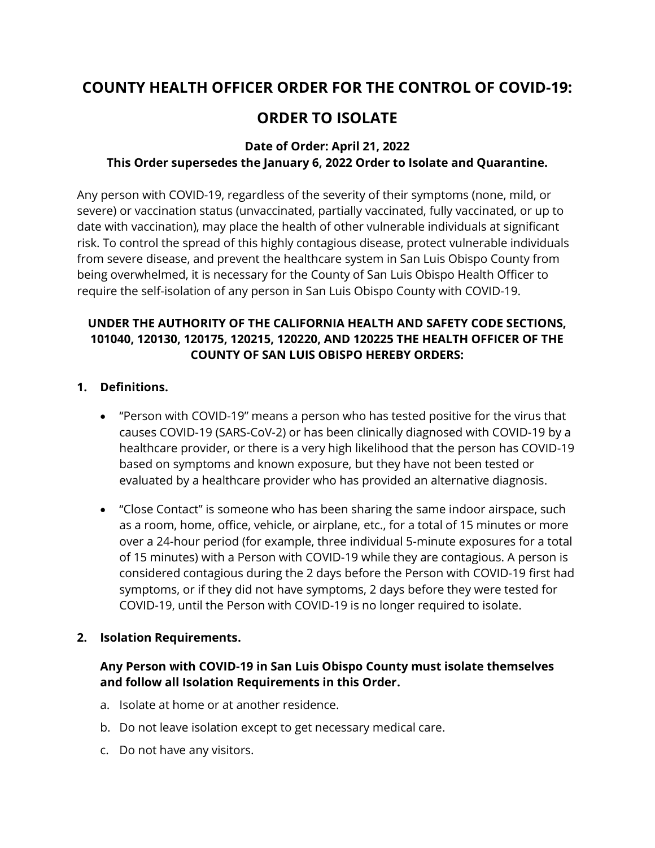# **COUNTY HEALTH OFFICER ORDER FOR THE CONTROL OF COVID-19:**

# **ORDER TO ISOLATE**

### **Date of Order: April 21, 2022 This Order supersedes the January 6, 2022 Order to Isolate and Quarantine.**

Any person with COVID-19, regardless of the severity of their symptoms (none, mild, or severe) or vaccination status (unvaccinated, partially vaccinated, fully vaccinated, or up to date with vaccination), may place the health of other vulnerable individuals at significant risk. To control the spread of this highly contagious disease, protect vulnerable individuals from severe disease, and prevent the healthcare system in San Luis Obispo County from being overwhelmed, it is necessary for the County of San Luis Obispo Health Officer to require the self-isolation of any person in San Luis Obispo County with COVID-19.

## **UNDER THE AUTHORITY OF THE CALIFORNIA HEALTH AND SAFETY CODE SECTIONS, 101040, 120130, 120175, 120215, 120220, AND 120225 THE HEALTH OFFICER OF THE COUNTY OF SAN LUIS OBISPO HEREBY ORDERS:**

#### **1. Definitions.**

- "Person with COVID-19" means a person who has tested positive for the virus that causes COVID-19 (SARS-CoV-2) or has been clinically diagnosed with COVID-19 by a healthcare provider, or there is a very high likelihood that the person has COVID-19 based on symptoms and known exposure, but they have not been tested or evaluated by a healthcare provider who has provided an alternative diagnosis.
- "Close Contact" is someone who has been sharing the same indoor airspace, such as a room, home, office, vehicle, or airplane, etc., for a total of 15 minutes or more over a 24-hour period (for example, three individual 5-minute exposures for a total of 15 minutes) with a Person with COVID-19 while they are contagious. A person is considered contagious during the 2 days before the Person with COVID-19 first had symptoms, or if they did not have symptoms, 2 days before they were tested for COVID-19, until the Person with COVID-19 is no longer required to isolate.

#### **2. Isolation Requirements.**

### **Any Person with COVID-19 in San Luis Obispo County must isolate themselves and follow all Isolation Requirements in this Order.**

- a. Isolate at home or at another residence.
- b. Do not leave isolation except to get necessary medical care.
- c. Do not have any visitors.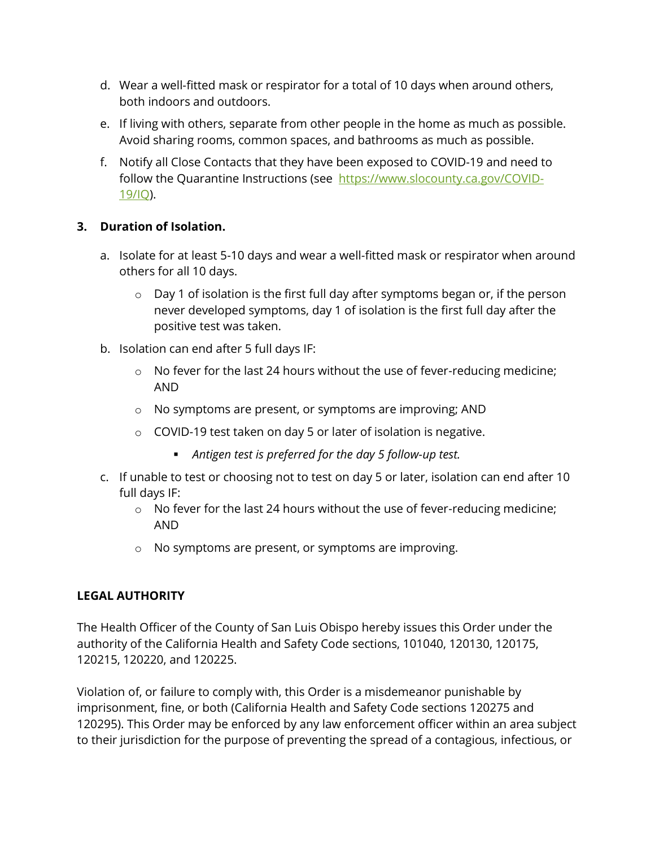- d. Wear a well-fitted mask or respirator for a total of 10 days when around others, both indoors and outdoors.
- e. If living with others, separate from other people in the home as much as possible. Avoid sharing rooms, common spaces, and bathrooms as much as possible.
- f. Notify all Close Contacts that they have been exposed to COVID-19 and need to follow the Quarantine Instructions (see [https://www.slocounty.ca.gov/COVID-](https://www.slocounty.ca.gov/COVID-19/IQ)[19/IQ\)](https://www.slocounty.ca.gov/COVID-19/IQ).

## **3. Duration of Isolation.**

- a. Isolate for at least 5-10 days and wear a well-fitted mask or respirator when around others for all 10 days.
	- o Day 1 of isolation is the first full day after symptoms began or, if the person never developed symptoms, day 1 of isolation is the first full day after the positive test was taken.
- b. Isolation can end after 5 full days IF:
	- o No fever for the last 24 hours without the use of fever-reducing medicine; AND
	- o No symptoms are present, or symptoms are improving; AND
	- $\circ$  COVID-19 test taken on day 5 or later of isolation is negative.
		- *Antigen test is preferred for the day 5 follow-up test.*
- c. If unable to test or choosing not to test on day 5 or later, isolation can end after 10 full days IF:
	- o No fever for the last 24 hours without the use of fever-reducing medicine; AND
	- o No symptoms are present, or symptoms are improving.

## **LEGAL AUTHORITY**

The Health Officer of the County of San Luis Obispo hereby issues this Order under the authority of the California Health and Safety Code sections, 101040, 120130, 120175, 120215, 120220, and 120225.

Violation of, or failure to comply with, this Order is a misdemeanor punishable by imprisonment, fine, or both (California Health and Safety Code sections 120275 and 120295). This Order may be enforced by any law enforcement officer within an area subject to their jurisdiction for the purpose of preventing the spread of a contagious, infectious, or